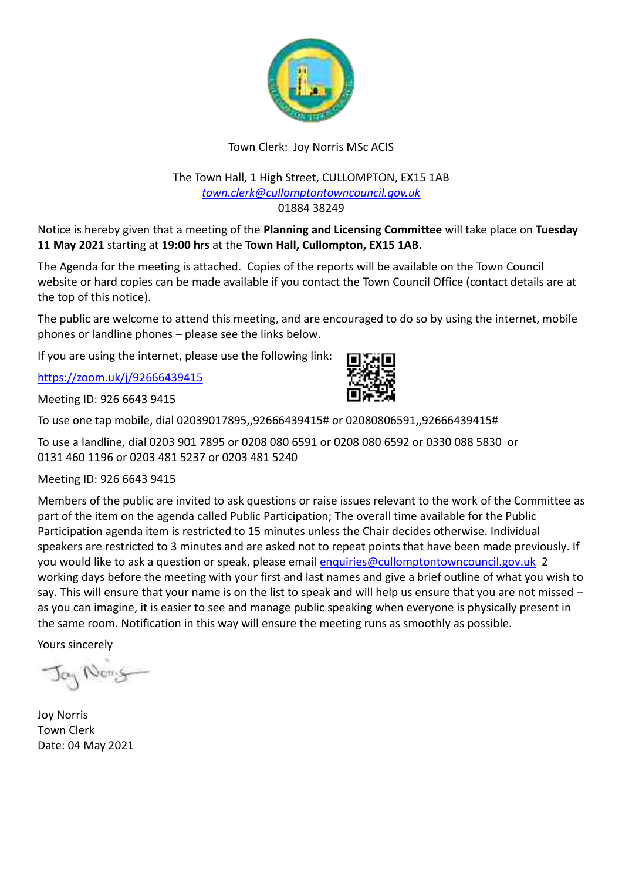

# Town Clerk: Joy Norris MSc ACIS

#### The Town Hall, 1 High Street, CULLOMPTON, EX15 1AB *[town.clerk@cullomptontowncouncil.gov.uk](mailto:town.clerk@cullomptontowncouncil.gov.uk)* 01884 38249

Notice is hereby given that a meeting of the **Planning and Licensing Committee** will take place on **Tuesday 11 May 2021** starting at **19:00 hrs** at the **Town Hall, Cullompton, EX15 1AB.**

The Agenda for the meeting is attached. Copies of the reports will be available on the Town Council website or hard copies can be made available if you contact the Town Council Office (contact details are at the top of this notice).

The public are welcome to attend this meeting, and are encouraged to do so by using the internet, mobile phones or landline phones – please see the links below.

If you are using the internet, please use the following link:

<https://zoom.uk/j/92666439415>

Meeting ID: 926 6643 9415



To use a landline, dial 0203 901 7895 or 0208 080 6591 or 0208 080 6592 or 0330 088 5830 or 0131 460 1196 or 0203 481 5237 or 0203 481 5240

Meeting ID: 926 6643 9415

Members of the public are invited to ask questions or raise issues relevant to the work of the Committee as part of the item on the agenda called Public Participation; The overall time available for the Public Participation agenda item is restricted to 15 minutes unless the Chair decides otherwise. Individual speakers are restricted to 3 minutes and are asked not to repeat points that have been made previously. If you would like to ask a question or speak, please email [enquiries@cullomptontowncouncil.gov.uk](mailto:enquiries@cullomptontowncouncil.gov.uk) 2 working days before the meeting with your first and last names and give a brief outline of what you wish to say. This will ensure that your name is on the list to speak and will help us ensure that you are not missed – as you can imagine, it is easier to see and manage public speaking when everyone is physically present in the same room. Notification in this way will ensure the meeting runs as smoothly as possible.

Yours sincerely

Jay Nong

Joy Norris Town Clerk Date: 04 May 2021

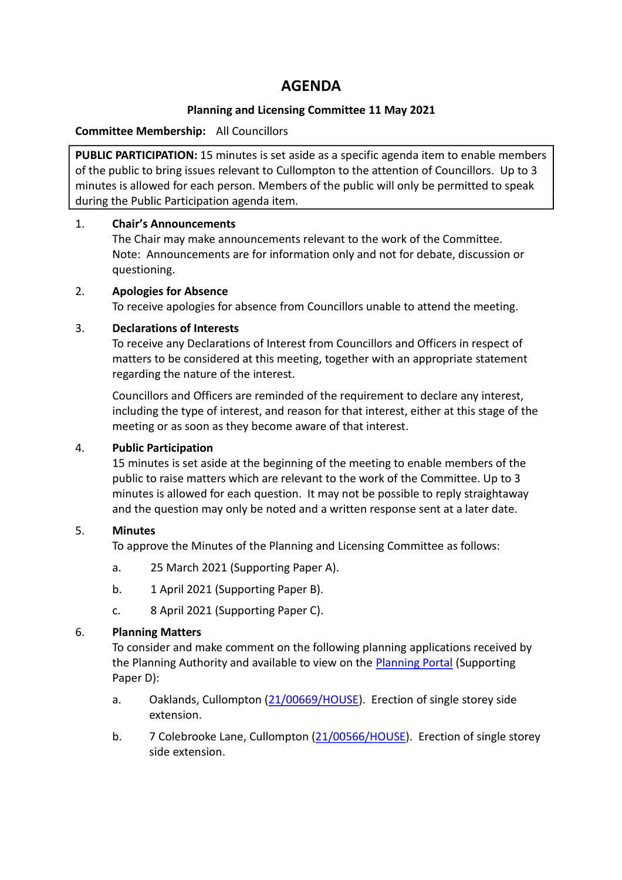# **AGENDA**

#### **Planning and Licensing Committee 11 May 2021**

#### **Committee Membership:** All Councillors

**PUBLIC PARTICIPATION:** 15 minutes is set aside as a specific agenda item to enable members of the public to bring issues relevant to Cullompton to the attention of Councillors. Up to 3 minutes is allowed for each person. Members of the public will only be permitted to speak during the Public Participation agenda item.

#### 1. **Chair's Announcements**

The Chair may make announcements relevant to the work of the Committee. Note: Announcements are for information only and not for debate, discussion or questioning.

## 2. **Apologies for Absence**

To receive apologies for absence from Councillors unable to attend the meeting.

## 3. **Declarations of Interests**

To receive any Declarations of Interest from Councillors and Officers in respect of matters to be considered at this meeting, together with an appropriate statement regarding the nature of the interest.

Councillors and Officers are reminded of the requirement to declare any interest, including the type of interest, and reason for that interest, either at this stage of the meeting or as soon as they become aware of that interest.

# 4. **Public Participation**

15 minutes is set aside at the beginning of the meeting to enable members of the public to raise matters which are relevant to the work of the Committee. Up to 3 minutes is allowed for each question. It may not be possible to reply straightaway and the question may only be noted and a written response sent at a later date.

# 5. **Minutes**

To approve the Minutes of the Planning and Licensing Committee as follows:

- a. 25 March 2021 (Supporting Paper A).
- b. 1 April 2021 (Supporting Paper B).
- c. 8 April 2021 (Supporting Paper C).

# 6. **Planning Matters**

To consider and make comment on the following planning applications received by the Planning Authority and available to view on the [Planning Portal](https://planning.middevon.gov.uk/online-applications/) (Supporting Paper D):

- a. Oaklands, Cullompton [\(21/00669/HOUSE\)](https://planning.middevon.gov.uk/online-applications/applicationDetails.do?activeTab=documents&keyVal=QR6T0CKS07T00). Erection of single storey side extension.
- b. 7 Colebrooke Lane, Cullompton [\(21/00566/HOUSE\)](https://planning.middevon.gov.uk/online-applications/applicationDetails.do?activeTab=documents&keyVal=QQFCLJKS05K00). Erection of single storey side extension.